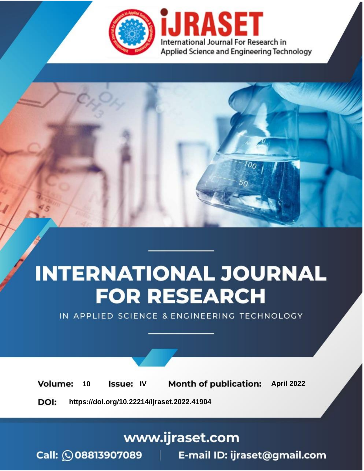

# **INTERNATIONAL JOURNAL FOR RESEARCH**

IN APPLIED SCIENCE & ENGINEERING TECHNOLOGY

10 **Issue: IV Month of publication:** April 2022 **Volume:** 

**https://doi.org/10.22214/ijraset.2022.41904**DOI:

www.ijraset.com

Call: **Q08813907089** E-mail ID: ijraset@gmail.com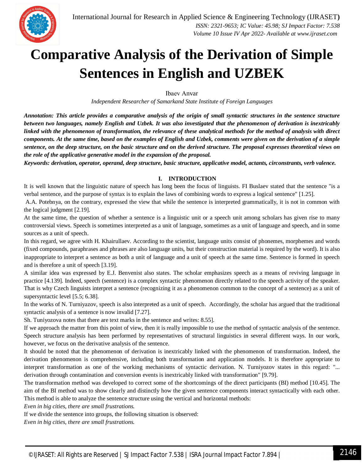

### **Comparative Analysis of the Derivation of Simple Sentences in English and UZBEK**

Ibaev Аnvar

*Independent Researcher of Samarkand State Institute of Foreign Languages*

*Annotation: This article provides a comparative analysis of the origin of small syntactic structures in the sentence structure between two languages, namely English and Uzbek. It was also investigated that the phenomenon of derivation is inextricably linked with the phenomenon of transformation, the relevance of these analytical methods for the method of analysis with direct components. At the same time, based on the examples of English and Uzbek, comments were given on the derivation of a simple sentence, on the deep structure, on the basic structure and on the derived structure. The proposal expresses theoretical views on the role of the applicative generative model in the expansion of the proposal.*

*Keywords: derivation, operator, operand, deep structure, basic structure, applicative model, actants, circonstrants, verb valence.*

#### **I. INTRODUCTION**

It is well known that the linguistic nature of speech has long been the focus of linguists. FI Buslaev stated that the sentence "is a verbal sentence, and the purpose of syntax is to explain the laws of combining words to express a logical sentence" [1.25].

A.A. Potebnya, on the contrary, expressed the view that while the sentence is interpreted grammatically, it is not in common with the logical judgment [2.19].

At the same time, the question of whether a sentence is a linguistic unit or a speech unit among scholars has given rise to many controversial views. Speech is sometimes interpreted as a unit of language, sometimes as a unit of language and speech, and in some sources as a unit of speech.

In this regard, we agree with H. Khairullaev. According to the scientist, language units consist of phonemes, morphemes and words (fixed compounds, paraphrases and phrases are also language units, but their construction material is required by the word). It is also inappropriate to interpret a sentence as both a unit of language and a unit of speech at the same time. Sentence is formed in speech and is therefore a unit of speech [3.19].

A similar idea was expressed by E.J. Benvenist also states. The scholar emphasizes speech as a means of reviving language in practice [4.139]. Indeed, speech (sentence) is a complex syntactic phenomenon directly related to the speech activity of the speaker. That is why Czech linguists interpret a sentence (recognizing it as a phenomenon common to the concept of a sentence) as a unit of supersyntactic level [5.5; 6.38].

In the works of N. Turniyazov, speech is also interpreted as a unit of speech. Accordingly, the scholar has argued that the traditional syntactic analysis of a sentence is now invalid [7.27].

Sh. Tuniyozova notes that there are text marks in the sentence and writes: 8.55].

If we approach the matter from this point of view, then it is really impossible to use the method of syntactic analysis of the sentence. Speech structure analysis has been performed by representatives of structural linguistics in several different ways. In our work, however, we focus on the derivative analysis of the sentence.

It should be noted that the phenomenon of derivation is inextricably linked with the phenomenon of transformation. Indeed, the derivation phenomenon is comprehensive, including both transformation and application models. It is therefore appropriate to interpret transformation as one of the working mechanisms of syntactic derivation. N. Turniyozov states in this regard: "... derivation through contamination and conversion events is inextricably linked with transformation" [9.79].

The transformation method was developed to correct some of the shortcomings of the direct participants (BI) method [10.45]. The aim of the BI method was to show clearly and distinctly how the given sentence components interact syntactically with each other. This method is able to analyze the sentence structure using the vertical and horizontal methods:

*Even in big cities, there are small frustrations.* 

If we divide the sentence into groups, the following situation is observed:

*Even in big cities, there are small frustrations.*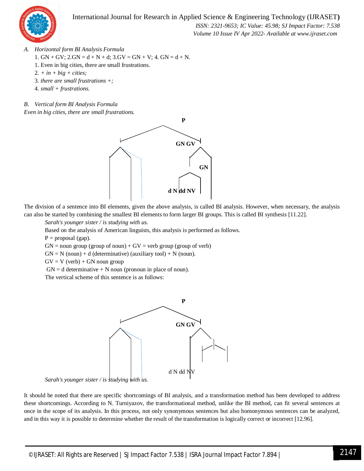

 *ISSN: 2321-9653; IC Value: 45.98; SJ Impact Factor: 7.538 Volume 10 Issue IV Apr 2022- Available at www.ijraset.com*

- *A. Horizontal form BI Analysis Formula*
	- 1.  $GN + GV$ ;  $2.GN = d + N + d$ ;  $3.GV = GN + V$ ;  $4. GN = d + N$ .
	- 1. Even in big cities, there are small frustrations.
	- 2*. + in + big + cities;*
	- 3*. there are small frustrations +;*
	- 4*. small + frustrations.*
- *B. Vertical form BI Analysis Formula*

*Even in big cities, there are small frustrations.* 



The division of a sentence into BI elements, given the above analysis, is called BI analysis. However, when necessary, the analysis can also be started by combining the smallest BI elements to form larger BI groups. This is called BI synthesis [11.22].

*Sarah's younger sister / is studying with us.*

Based on the analysis of American linguists, this analysis is performed as follows.

 $P =$ proposal (gap).

 $GN =$  noun group (group of noun) +  $GV =$  verb group (group of verb)

 $GN = N$  (noun) + d (determinative) (auxiliary tool) + N (noun).

 $GV = V (verb) + GN noun group$ 

 $GN = d$  determinative  $+ N$  noun (pronoun in place of noun).

The vertical scheme of this sentence is as follows:



*Sarah's younger sister / is studying with us.*

It should be noted that there are specific shortcomings of BI analysis, and a transformation method has been developed to address these shortcomings. According to N. Turniyazov, the transformational method, unlike the BI method, can fit several sentences at once in the scope of its analysis. In this process, not only synonymous sentences but also homonymous sentences can be analyzed, and in this way it is possible to determine whether the result of the transformation is logically correct or incorrect [12.96].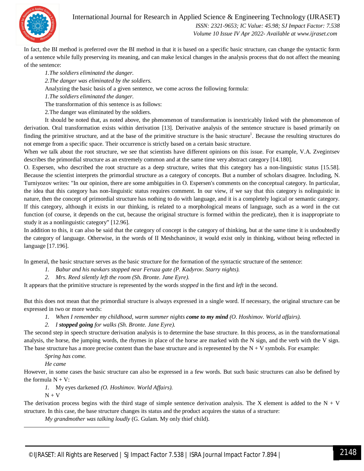

 *ISSN: 2321-9653; IC Value: 45.98; SJ Impact Factor: 7.538 Volume 10 Issue IV Apr 2022- Available at www.ijraset.com*

In fact, the BI method is preferred over the BI method in that it is based on a specific basic structure, can change the syntactic form of a sentence while fully preserving its meaning, and can make lexical changes in the analysis process that do not affect the meaning of the sentence:

*1.The soldiers eliminated the danger.*

*2.The danger was eliminated by the soldiers.*

Analyzing the basic basis of a given sentence, we come across the following formula:

*1.The soldiers eliminated the danger.*

The transformation of this sentence is as follows:

2.The danger was eliminated by the soldiers.

It should be noted that, as noted above, the phenomenon of transformation is inextricably linked with the phenomenon of derivation. Oral transformation exists within derivation [13]. Derivative analysis of the sentence structure is based primarily on finding the primitive structure, and at the base of the primitive structure is the basic structure<sup>1</sup>. Because the resulting structures do not emerge from a specific space. Their occurrence is strictly based on a certain basic structure.

When we talk about the root structure, we see that scientists have different opinions on this issue. For example, V.A. Zvegintsev describes the primordial structure as an extremely common and at the same time very abstract category [14.180].

O. Espersen, who described the root structure as a deep structure, writes that this category has a non-linguistic status [15.58]. Because the scientist interprets the primordial structure as a category of concepts. But a number of scholars disagree. Including, N. Turniyozov writes: "In our opinion, there are some ambiguities in O. Espersen's comments on the conceptual category. In particular, the idea that this category has non-linguistic status requires comment. In our view, if we say that this category is nolinguistic in nature, then the concept of primordial structure has nothing to do with language, and it is a completely logical or semantic category. If this category, although it exists in our thinking, is related to a morphological means of language, such as a word in the cut function (of course, it depends on the cut, because the original structure is formed within the predicate), then it is inappropriate to study it as a nonlinguistic category" [12.96].

In addition to this, it can also be said that the category of concept is the category of thinking, but at the same time it is undoubtedly the category of language. Otherwise, in the words of II Meshchaninov, it would exist only in thinking, without being reflected in language [17.196].

In general, the basic structure serves as the basic structure for the formation of the syntactic structure of the sentence:

- *1. Babur and his navkars stopped near Feruza gate (P. Kadyrov. Starry nights).*
- *2. Mrs. Reed silently left the room (Sh. Bronte. Jane Eyre).*

It appears that the primitive structure is represented by the words *stopped* in the first and *left* in the second.

But this does not mean that the primordial structure is always expressed in a single word. If necessary, the original structure can be expressed in two or more words:

*1. When I remember my childhood, warm summer nights come to my mind (O. Hoshimov. World affairs).* 

#### *2. I stopped going for walks (Sh. Bronte. Jane Eyre).*

The second step in speech structure derivation analysis is to determine the base structure. In this process, as in the transformational analysis, the horse, the jumping words, the rhymes in place of the horse are marked with the N sign, and the verb with the V sign. The base structure has a more precise content than the base structure and is represented by the  $N + V$  symbols. For example:

*Spring has come.*

*He came*

However, in some cases the basic structure can also be expressed in a few words. But such basic structures can also be defined by the formula  $N + V$ :

*1.* My eyes darkened *(O. Hoshimov. World Affairs).* 

 $N + V$ 

**.** 

The derivation process begins with the third stage of simple sentence derivation analysis. The X element is added to the  $N + V$ structure. In this case, the base structure changes its status and the product acquires the status of a structure:

*My grandmother was talking loudly* (G. Gulam. My only thief child).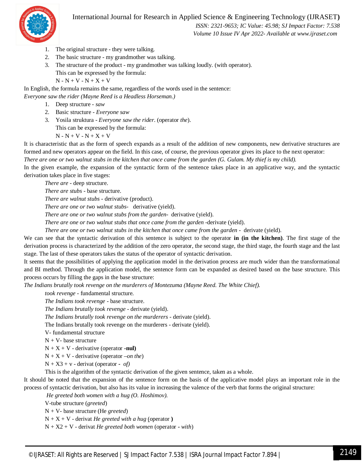

 *ISSN: 2321-9653; IC Value: 45.98; SJ Impact Factor: 7.538 Volume 10 Issue IV Apr 2022- Available at www.ijraset.com*

- 1. The original structure they were talking.
- 2. The basic structure my grandmother was talking.
- 3. The structure of the product my grandmother was talking loudly. (with operator). This can be expressed by the formula:

 $N - N + V - N + X + V$ 

In English, the formula remains the same, regardless of the words used in the sentence:

*Everyone saw the rider (Mayne Reed is a Headless Horseman.)*

- 1. Deep structure *saw*
- 2. Basic structure *Everyone saw*
- 3. Yosila struktura *Everyone saw the rider*. (operator *the*).

This can be expressed by the formula:

 $N - N + V - N + X + V$ 

It is characteristic that as the form of speech expands as a result of the addition of new components, new derivative structures are formed and new operators appear on the field. In this case, of course, the previous operator gives its place to the next operator:

*There are one or two walnut stubs in the kitchen that once came from the garden (G. Gulam. My thief is my child).*

In the given example, the expansion of the syntactic form of the sentence takes place in an applicative way, and the syntactic derivation takes place in five stages:

*There are* - deep structure.

*There are stubs* - base structure.

*There are walnut stubs* - derivative (product).

*There are one or two walnut stubs-* derivative (yield).

*There are one or two walnut stubs from the garden-* derivative (yield).

*There are one or two walnut stubs that once came from the garden -*derivate (yield).

*There are one or two walnut stubs in the kitchen that once came from the garden - derivate (yield).* 

We can see that the syntactic derivation of this sentence is subject to the operator **in (in the kitchen)**. The first stage of the derivation process is characterized by the addition of the zero operator, the second stage, the third stage, the fourth stage and the last stage. The last of these operators takes the status of the operator of syntactic derivation.

It seems that the possibilities of applying the application model in the derivation process are much wider than the transformational and BI method. Through the application model, the sentence form can be expanded as desired based on the base structure. This process occurs by filling the gaps in the base structure:

*The Indians brutally took revenge on the murderers of Montezuma (Mayne Reed. The White Chief).*

*took revenge -* fundamental structure.

*The Indians took revenge -* base structure.

*The Indians brutally took revenge -* derivate (yield).

*The Indians brutally took revenge on the murderers -* derivate (yield).

The Indians brutally took revenge on the murderers - derivate (yield).

V- fundamental structure

 $N + V$ - base structure

 $N + X + V$  - derivative (operator -nul)

N + X + V - derivative (operator –*on the*)

 $N + X3 + v$  - derivat (operator - *of)* 

This is the algorithm of the syntactic derivation of the given sentence, taken as a whole.

It should be noted that the expansion of the sentence form on the basis of the applicative model plays an important role in the process of syntactic derivation, but also has its value in increasing the valence of the verb that forms the original structure:

*He greeted both women with a hug (O. Hoshimov).*

V-tube structure (*greeted*)

N + V- base structure (He *greeted*)

 $N + X + V$  - derivat *He greeted with a hug* (operator)

N + X2 + V - derivat *He greeted both women* (operator **-** *with*)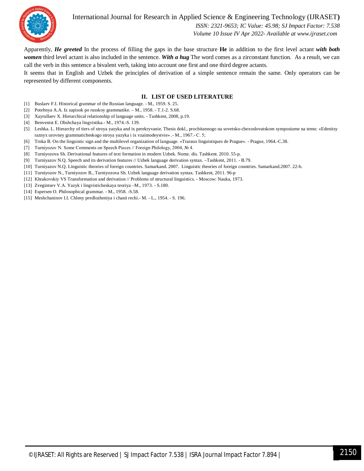

 *ISSN: 2321-9653; IC Value: 45.98; SJ Impact Factor: 7.538 Volume 10 Issue IV Apr 2022- Available at www.ijraset.com*

Apparently, *He greeted* In the process of filling the gaps in the base structure **He** in addition to the first level actant *with both women* third level actant is also included in the sentence. *With a hug* The word comes as a zirconstant function. As a result, we can call the verb in this sentence a bivalent verb, taking into account one first and one third degree actants.

It seems that in English and Uzbek the principles of derivation of a simple sentence remain the same. Only operators can be represented by different components.

#### **II. LIST OF USED LITERATURE**

- [1] Buslaev F.I. Historical grammar of the Russian language. M., 1959. S. 25.
- [2] Potebnya A.A. Iz zapisok po russkoy grammatike. M., 1958. T.1-2. S.68.
- [3] Xayrullaev X. Hierarchical relationship of language units. Tashkent, 2008, p.19.
- [4] Benvenist E. Obshchaya lingvistika.- M., 1974.-S. 139.
- [5] Leshka. L. Hierarchy of tiers of stroya yazyka and ix perekryvanie. Thesis dokl., prochitannogo na sovetsko-chexoslovatskom symposiume na temu: «Edenitsy raznyx urovney grammaticheskogo stroya yazyka i ix vzaimodeystvie» .- M., 1967.- С. 5;
- [6] Trnka B. On the linguistic sign and the multilevel organization of language. «Traraux linguistiques de Prague». Prague, 1964.-C.38.
- [7] Turniyozov N. Some Comments on Speech Pieces // Foreign Philology, 2004, № 4.
- [8] Turniyozova Sh. Derivational features of text formation in modern Uzbek. Nomz. dis. Tashkent. 2010. 55-p.
- [9] Turniyazov N.Q. Speech and its derivation features // Uzbek language derivation syntax. –Tashkent, 2011. B.79.
- [10] Turniyazov N.Q. Linguistic theories of foreign countries. Samarkand. 2007. Linguistic theories of foreign countries. Samarkand.2007. 22-b.
- [11] Turniyozov N., Turniyozov B., Turniyozova Sh. Uzbek language derivation syntax. Tashkent, 2011. 96-p
- [12] Khrakovskiy VS Transformation and derivation // Problems of structural linguistics. Moscow: Nauka, 1973.
- [13] Zvegintsev V.A. Yazyk i lingvisticheskaya teoriya –M., 1973. S.180.
- [14] Espersen O. Philosophical grammar. M., 1958. -S.58.
- [15] Meshchaninov I.I. Chleny predlozheniya i chasti rechi.- M. L., 1954. S. 196.